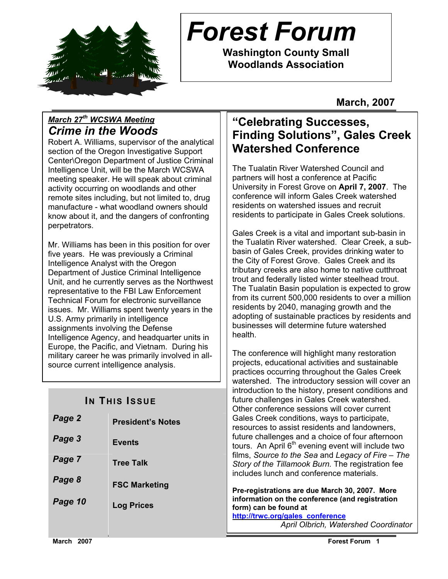

# *Forest Forum*

**Washington County Small Woodlands Association** 

**March, 2007** 

### *March 27th WCSWA Meeting Crime in the Woods*

Robert A. Williams, supervisor of the analytical section of the Oregon Investigative Support Center\Oregon Department of Justice Criminal Intelligence Unit, will be the March WCSWA meeting speaker. He will speak about criminal activity occurring on woodlands and other remote sites including, but not limited to, drug manufacture - what woodland owners should know about it, and the dangers of confronting perpetrators.

Mr. Williams has been in this position for over five years. He was previously a Criminal Intelligence Analyst with the Oregon Department of Justice Criminal Intelligence Unit, and he currently serves as the Northwest representative to the FBI Law Enforcement Technical Forum for electronic surveillance issues. Mr. Williams spent twenty years in the U.S. Army primarily in intelligence assignments involving the Defense Intelligence Agency, and headquarter units in Europe, the Pacific, and Vietnam. During his military career he was primarily involved in allsource current intelligence analysis.

### **IN THIS ISSUE**

| Page 2  | <b>President's Notes</b> |
|---------|--------------------------|
| Page 3  | <b>Events</b>            |
| Page 7  | <b>Tree Talk</b>         |
| Page 8  | <b>FSC Marketing</b>     |
| Page 10 | <b>Log Prices</b>        |

### **"Celebrating Successes, Finding Solutions", Gales Creek Watershed Conference**

The Tualatin River Watershed Council and partners will host a conference at Pacific University in Forest Grove on **April 7, 2007**. The conference will inform Gales Creek watershed residents on watershed issues and recruit residents to participate in Gales Creek solutions.

Gales Creek is a vital and important sub-basin in the Tualatin River watershed. Clear Creek, a subbasin of Gales Creek, provides drinking water to the City of Forest Grove. Gales Creek and its tributary creeks are also home to native cutthroat trout and federally listed winter steelhead trout. The Tualatin Basin population is expected to grow from its current 500,000 residents to over a million residents by 2040, managing growth and the adopting of sustainable practices by residents and businesses will determine future watershed health.

The conference will highlight many restoration projects, educational activities and sustainable practices occurring throughout the Gales Creek watershed. The introductory session will cover an introduction to the history, present conditions and future challenges in Gales Creek watershed. Other conference sessions will cover current Gales Creek conditions, ways to participate, resources to assist residents and landowners, future challenges and a choice of four afternoon tours. An April  $6<sup>th</sup>$  evening event will include two films, *Source to the Sea* and *Legacy of Fire – The Story of the Tillamook Burn.* The registration fee includes lunch and conference materials.

**Pre-registrations are due March 30, 2007. More information on the conference (and registration form) can be found at** 

**http://trwc.org/gales\_conference** *April Olbrich, Watershed Coordinator*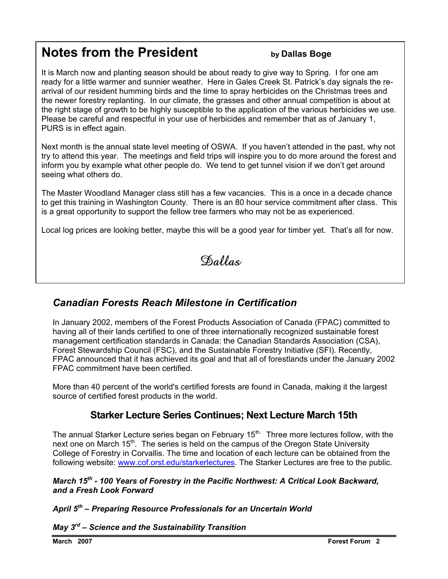# **Notes from the President** by Dallas Boge

It is March now and planting season should be about ready to give way to Spring. I for one am ready for a little warmer and sunnier weather. Here in Gales Creek St. Patrick's day signals the rearrival of our resident humming birds and the time to spray herbicides on the Christmas trees and the newer forestry replanting. In our climate, the grasses and other annual competition is about at the right stage of growth to be highly susceptible to the application of the various herbicides we use. Please be careful and respectful in your use of herbicides and remember that as of January 1, PURS is in effect again.

Next month is the annual state level meeting of OSWA. If you haven't attended in the past, why not try to attend this year. The meetings and field trips will inspire you to do more around the forest and inform you by example what other people do. We tend to get tunnel vision if we don't get around seeing what others do.

The Master Woodland Manager class still has a few vacancies. This is a once in a decade chance to get this training in Washington County. There is an 80 hour service commitment after class. This is a great opportunity to support the fellow tree farmers who may not be as experienced.

Local log prices are looking better, maybe this will be a good year for timber yet. That's all for now.

Dallas

### *Canadian Forests Reach Milestone in Certification*

In January 2002, members of the Forest Products Association of Canada (FPAC) committed to having all of their lands certified to one of three internationally recognized sustainable forest management certification standards in Canada: the Canadian Standards Association (CSA), Forest Stewardship Council (FSC), and the Sustainable Forestry Initiative (SFI). Recently, FPAC announced that it has achieved its goal and that all of forestlands under the January 2002 FPAC commitment have been certified.

More than 40 percent of the world's certified forests are found in Canada, making it the largest source of certified forest products in the world.

#### **Starker Lecture Series Continues; Next Lecture March 15th**

The annual Starker Lecture series began on February  $15<sup>th</sup>$ . Three more lectures follow, with the next one on March 15<sup>th</sup>. The series is held on the campus of the Oregon State University College of Forestry in Corvallis. The time and location of each lecture can be obtained from the following website: www.cof.orst.edu/starkerlectures. The Starker Lectures are free to the public.

#### *March 15th - 100 Years of Forestry in the Pacific Northwest: A Critical Look Backward, and a Fresh Look Forward*

*April 5th – Preparing Resource Professionals for an Uncertain World* 

*May 3rd – Science and the Sustainability Transition* 

 $\overline{a}$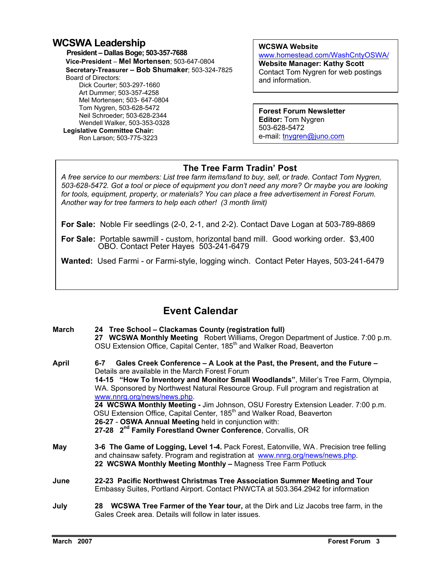#### **WCSWA Leadership**

 **President – Dallas Boge; 503-357-7688 Vice-President** – **Mel Mortensen**; 503-647-0804 **Secretary-Treasurer – Bob Shumaker**; 503-324-7825 Board of Directors: Dick Courter; 503-297-1660 Art Dummer; 503-357-4258 Mel Mortensen; 503- 647-0804 Tom Nygren, 503-628-5472 Neil Schroeder; 503-628-2344 Wendell Walker, 503-353-0328  **Legislative Committee Chair:**  Ron Larson; 503-775-3223

**WCSWA Website** 

www.homestead.com/WashCntyOSWA/ **Website Manager: Kathy Scott** Contact Tom Nygren for web postings and information.

**Forest Forum Newsletter Editor:** Tom Nygren 503-628-5472 e-mail: tnygren@juno.com

#### **The Tree Farm Tradin' Post**

 *for tools, equipment, property, or materials? You can place a free advertisement in Forest Forum. A free service to our members: List tree farm items/land to buy, sell, or trade. Contact Tom Nygren, 503-628-5472. Got a tool or piece of equipment you don't need any more? Or maybe you are looking Another way for tree farmers to help each other! (3 month limit)* 

**For Sale:** Noble Fir seedlings (2-0, 2-1, and 2-2). Contact Dave Logan at 503-789-8869

**For Sale:** Portable sawmill - custom, horizontal band mill. Good working order. \$3,400 OBO. Contact Peter Hayes 503-241-6479

**Wanted:** Used Farmi - or Farmi-style, logging winch. Contact Peter Hayes, 503-241-6479

### **Event Calendar**

| <b>March</b> | 24 Tree School – Clackamas County (registration full)<br>27 WCSWA Monthly Meeting Robert Williams, Oregon Department of Justice. 7:00 p.m.<br>OSU Extension Office, Capital Center, 185 <sup>th</sup> and Walker Road, Beaverton                                                                                                                                                                                                                                                                                                                                                                                                                               |
|--------------|----------------------------------------------------------------------------------------------------------------------------------------------------------------------------------------------------------------------------------------------------------------------------------------------------------------------------------------------------------------------------------------------------------------------------------------------------------------------------------------------------------------------------------------------------------------------------------------------------------------------------------------------------------------|
| April        | Gales Creek Conference - A Look at the Past, the Present, and the Future -<br>6-7<br>Details are available in the March Forest Forum<br>14-15 "How To Inventory and Monitor Small Woodlands", Miller's Tree Farm, Olympia,<br>WA. Sponsored by Northwest Natural Resource Group. Full program and registration at<br>www.nnrg.org/news/news.php.<br>24 WCSWA Monthly Meeting - Jim Johnson, OSU Forestry Extension Leader. 7:00 p.m.<br>OSU Extension Office, Capital Center, 185 <sup>th</sup> and Walker Road, Beaverton<br>26-27 - OSWA Annual Meeting held in conjunction with:<br>27-28 2 <sup>nd</sup> Family Forestland Owner Conference, Corvallis, OR |
| May          | 3-6 The Game of Logging, Level 1-4. Pack Forest, Eatonville, WA. Precision tree felling<br>and chainsaw safety. Program and registration at www.nnrg.org/news/news.php.<br>22 WCSWA Monthly Meeting Monthly - Magness Tree Farm Potluck                                                                                                                                                                                                                                                                                                                                                                                                                        |
| June         | 22-23 Pacific Northwest Christmas Tree Association Summer Meeting and Tour<br>Embassy Suites, Portland Airport. Contact PNWCTA at 503.364.2942 for information                                                                                                                                                                                                                                                                                                                                                                                                                                                                                                 |
| July         | 28 WCSWA Tree Farmer of the Year tour, at the Dirk and Liz Jacobs tree farm, in the<br>Gales Creek area. Details will follow in later issues.                                                                                                                                                                                                                                                                                                                                                                                                                                                                                                                  |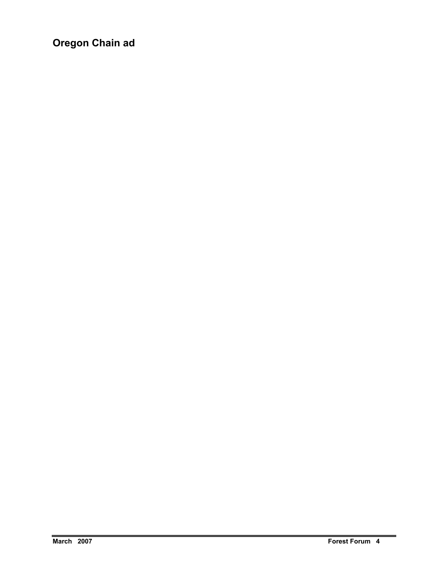**Oregon Chain ad**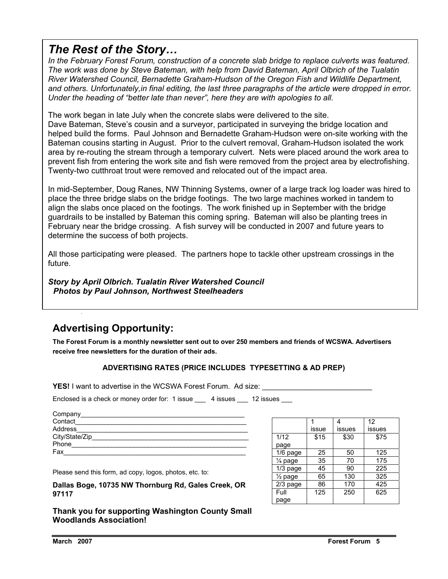### *The Rest of the Story…*

*In the February Forest Forum, construction of a concrete slab bridge to replace culverts was featured. The work was done by Steve Bateman, with help from David Bateman, April Olbrich of the Tualatin River Watershed Council, Bernadette Graham-Hudson of the Oregon Fish and Wildlife Department,*  and others. Unfortunately, in final editing, the last three paragraphs of the article were dropped in error. *Under the heading of "better late than never", here they are with apologies to all.* 

The work began in late July when the concrete slabs were delivered to the site.

Dave Bateman, Steve's cousin and a surveyor, participated in surveying the bridge location and helped build the forms. Paul Johnson and Bernadette Graham-Hudson were on-site working with the Bateman cousins starting in August. Prior to the culvert removal, Graham-Hudson isolated the work area by re-routing the stream through a temporary culvert. Nets were placed around the work area to prevent fish from entering the work site and fish were removed from the project area by electrofishing. Twenty-two cutthroat trout were removed and relocated out of the impact area.

In mid-September, Doug Ranes, NW Thinning Systems, owner of a large track log loader was hired to place the three bridge slabs on the bridge footings. The two large machines worked in tandem to align the slabs once placed on the footings. The work finished up in September with the bridge guardrails to be installed by Bateman this coming spring. Bateman will also be planting trees in February near the bridge crossing. A fish survey will be conducted in 2007 and future years to determine the success of both projects.

All those participating were pleased. The partners hope to tackle other upstream crossings in the future.

*Story by April Olbrich. Tualatin River Watershed Council Photos by Paul Johnson, Northwest Steelheaders* 

### **Advertising Opportunity:**

**The Forest Forum is a monthly newsletter sent out to over 250 members and friends of WCSWA. Advertisers receive free newsletters for the duration of their ads.** 

#### **ADVERTISING RATES (PRICE INCLUDES TYPESETTING & AD PREP)**

**YES!** I want to advertise in the WCSWA Forest Forum. Ad size:

Enclosed is a check or money order for: 1 issue 4 issues 21 issues

| Company        |  |
|----------------|--|
| Contact        |  |
| Address        |  |
| City/State/Zip |  |
| Phone          |  |
| Fax            |  |
|                |  |

Please send this form, ad copy, logos, photos, etc. to:

**Dallas Boge, 10735 NW Thornburg Rd, Gales Creek, OR 97117** 

**Thank you for supporting Washington County Small Woodlands Association!** 

|                    |       |        | 12     |
|--------------------|-------|--------|--------|
|                    | issue | issues | issues |
| 1/12               | \$15  | \$30   | \$75   |
| page               |       |        |        |
| $1/6$ page         | 25    | 50     | 125    |
| 1⁄4 page           | 35    | 70     | 175    |
| 1/3 page           | 45    | 90     | 225    |
| $\frac{1}{2}$ page | 65    | 130    | 325    |
| $2/3$ page         | 86    | 170    | 425    |
| Full               | 125   | 250    | 625    |
| page               |       |        |        |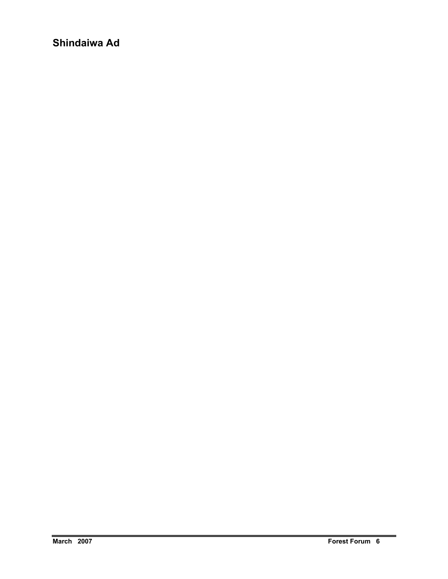**Shindaiwa Ad**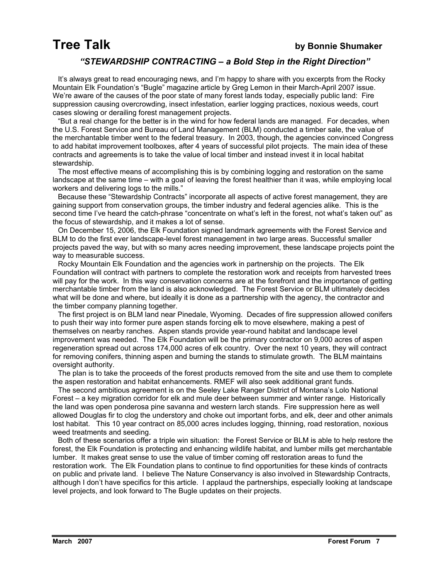#### *"STEWARDSHIP CONTRACTING – a Bold Step in the Right Direction"*

 It's always great to read encouraging news, and I'm happy to share with you excerpts from the Rocky Mountain Elk Foundation's "Bugle" magazine article by Greg Lemon in their March-April 2007 issue. We're aware of the causes of the poor state of many forest lands today, especially public land: Fire suppression causing overcrowding, insect infestation, earlier logging practices, noxious weeds, court cases slowing or derailing forest management projects.

 "But a real change for the better is in the wind for how federal lands are managed. For decades, when the U.S. Forest Service and Bureau of Land Management (BLM) conducted a timber sale, the value of the merchantable timber went to the federal treasury. In 2003, though, the agencies convinced Congress to add habitat improvement toolboxes, after 4 years of successful pilot projects. The main idea of these contracts and agreements is to take the value of local timber and instead invest it in local habitat stewardship.

 The most effective means of accomplishing this is by combining logging and restoration on the same landscape at the same time – with a goal of leaving the forest healthier than it was, while employing local workers and delivering logs to the mills."

 Because these "Stewardship Contracts" incorporate all aspects of active forest management, they are gaining support from conservation groups, the timber industry and federal agencies alike. This is the second time I've heard the catch-phrase "concentrate on what's left in the forest, not what's taken out" as the focus of stewardship, and it makes a lot of sense.

 On December 15, 2006, the Elk Foundation signed landmark agreements with the Forest Service and BLM to do the first ever landscape-level forest management in two large areas. Successful smaller projects paved the way, but with so many acres needing improvement, these landscape projects point the way to measurable success.

 Rocky Mountain Elk Foundation and the agencies work in partnership on the projects. The Elk Foundation will contract with partners to complete the restoration work and receipts from harvested trees will pay for the work. In this way conservation concerns are at the forefront and the importance of getting merchantable timber from the land is also acknowledged. The Forest Service or BLM ultimately decides what will be done and where, but ideally it is done as a partnership with the agency, the contractor and the timber company planning together.

 The first project is on BLM land near Pinedale, Wyoming. Decades of fire suppression allowed conifers to push their way into former pure aspen stands forcing elk to move elsewhere, making a pest of themselves on nearby ranches. Aspen stands provide year-round habitat and landscape level improvement was needed. The Elk Foundation will be the primary contractor on 9,000 acres of aspen regeneration spread out across 174,000 acres of elk country. Over the next 10 years, they will contract for removing conifers, thinning aspen and burning the stands to stimulate growth. The BLM maintains oversight authority.

 The plan is to take the proceeds of the forest products removed from the site and use them to complete the aspen restoration and habitat enhancements. RMEF will also seek additional grant funds.

 The second ambitious agreement is on the Seeley Lake Ranger District of Montana's Lolo National Forest – a key migration corridor for elk and mule deer between summer and winter range. Historically the land was open ponderosa pine savanna and western larch stands. Fire suppression here as well allowed Douglas fir to clog the understory and choke out important forbs, and elk, deer and other animals lost habitat. This 10 year contract on 85,000 acres includes logging, thinning, road restoration, noxious weed treatments and seeding.

 Both of these scenarios offer a triple win situation: the Forest Service or BLM is able to help restore the forest, the Elk Foundation is protecting and enhancing wildlife habitat, and lumber mills get merchantable lumber. It makes great sense to use the value of timber coming off restoration areas to fund the restoration work. The Elk Foundation plans to continue to find opportunities for these kinds of contracts on public and private land. I believe The Nature Conservancy is also involved in Stewardship Contracts, although I don't have specifics for this article. I applaud the partnerships, especially looking at landscape level projects, and look forward to The Bugle updates on their projects.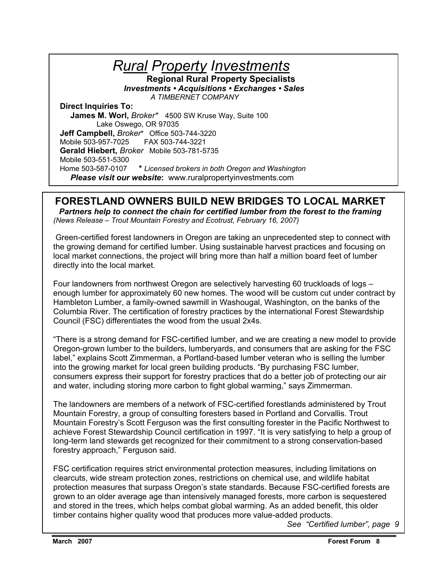*Rural Property Investments* **Regional Rural Property Specialists**   *Investments • Acquisitions • Exchanges • Sales A TIMBERNET COMPANY*  **Direct Inquiries To: James M. Worl,** *Broker\** 4500 SW Kruse Way, Suite 100 Lake Oswego, OR 97035 **Jeff Campbell,** *Broker*\* Office 503-744-3220 Mobile 503-957-7025FAX 503-744-3221  **Gerald Hiebert,** *Broker* Mobile 503-781-5735 Mobile 503-551-5300 Home 503-587-0107 **\*** *Licensed brokers in both Oregon and Washington**Please visit our website***:** www.ruralpropertyinvestments.com

#### **FORESTLAND OWNERS BUILD NEW BRIDGES TO LOCAL MARKET**

*Partners help to connect the chain for certified lumber from the forest to the framing (News Release – Trout Mountain Forestry and Ecotrust, February 16, 2007)* 

 Green-certified forest landowners in Oregon are taking an unprecedented step to connect with the growing demand for certified lumber. Using sustainable harvest practices and focusing on local market connections, the project will bring more than half a million board feet of lumber directly into the local market.

Four landowners from northwest Oregon are selectively harvesting 60 truckloads of logs – enough lumber for approximately 60 new homes. The wood will be custom cut under contract by Hambleton Lumber, a family-owned sawmill in Washougal, Washington, on the banks of the Columbia River. The certification of forestry practices by the international Forest Stewardship Council (FSC) differentiates the wood from the usual 2x4s.

"There is a strong demand for FSC-certified lumber, and we are creating a new model to provide Oregon-grown lumber to the builders, lumberyards, and consumers that are asking for the FSC label," explains Scott Zimmerman, a Portland-based lumber veteran who is selling the lumber into the growing market for local green building products. "By purchasing FSC lumber, consumers express their support for forestry practices that do a better job of protecting our air and water, including storing more carbon to fight global warming," says Zimmerman.

The landowners are members of a network of FSC-certified forestlands administered by Trout Mountain Forestry, a group of consulting foresters based in Portland and Corvallis. Trout Mountain Forestry's Scott Ferguson was the first consulting forester in the Pacific Northwest to achieve Forest Stewardship Council certification in 1997. "It is very satisfying to help a group of long-term land stewards get recognized for their commitment to a strong conservation-based forestry approach," Ferguson said.

FSC certification requires strict environmental protection measures, including limitations on clearcuts, wide stream protection zones, restrictions on chemical use, and wildlife habitat protection measures that surpass Oregon's state standards. Because FSC-certified forests are grown to an older average age than intensively managed forests, more carbon is sequestered and stored in the trees, which helps combat global warming. As an added benefit, this older timber contains higher quality wood that produces more value-added products.

*See "Certified lumber", page 9*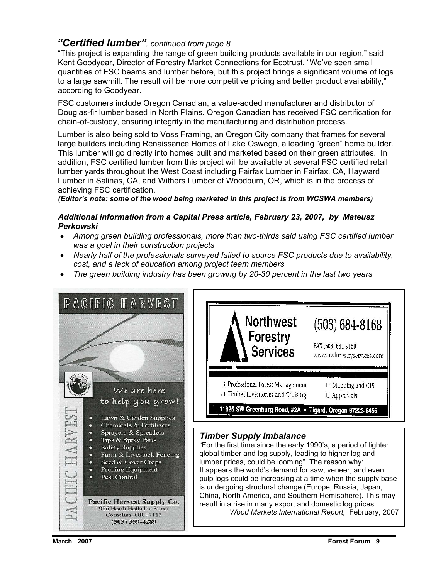#### *"Certified lumber", continued from page 8*

"This project is expanding the range of green building products available in our region," said Kent Goodyear, Director of Forestry Market Connections for Ecotrust. "We've seen small quantities of FSC beams and lumber before, but this project brings a significant volume of logs to a large sawmill. The result will be more competitive pricing and better product availability," according to Goodyear.

FSC customers include Oregon Canadian, a value-added manufacturer and distributor of Douglas-fir lumber based in North Plains. Oregon Canadian has received FSC certification for chain-of-custody, ensuring integrity in the manufacturing and distribution process.

Lumber is also being sold to Voss Framing, an Oregon City company that frames for several large builders including Renaissance Homes of Lake Oswego, a leading "green" home builder. This lumber will go directly into homes built and marketed based on their green attributes. In addition, FSC certified lumber from this project will be available at several FSC certified retail lumber yards throughout the West Coast including Fairfax Lumber in Fairfax, CA, Hayward Lumber in Salinas, CA, and Withers Lumber of Woodburn, OR, which is in the process of achieving FSC certification.

*(Editor's note: some of the wood being marketed in this project is from WCSWA members)* 

#### *Additional information from a Capital Press article, February 23, 2007, by Mateusz Perkowski*

- *Among green building professionals, more than two-thirds said using FSC certified lumber was a goal in their construction projects*
- *Nearly half of the professionals surveyed failed to source FSC products due to availability, cost, and a lack of education among project team members*
- *The green building industry has been growing by 20-30 percent in the last two years*

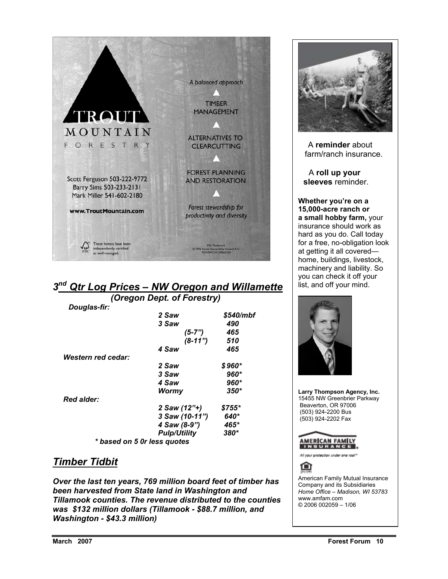

## *3nd Qtr Log Prices – NW Oregon and Willamette*

 *(Oregon Dept. of Forestry) Douglas-fir: 2 Saw \$540/mbf 3 Saw 490 (5-7") 465 (8-11") 510 4 Saw 465 Western red cedar: 2 Saw \$ 960\* 3 Saw 960\* 4 Saw 960\* Wormy 350\* Red alder: 2 Saw (12"+) \$755\* 3 Saw (10-11") 640\* 4 Saw (8-9") Pulp/Utility 380\* \* based on 5 0r less quotes* 

#### *Timber Tidbit*

*Over the last ten years, 769 million board feet of timber has been harvested from State land in Washington and Tillamook counties. The revenue distributed to the counties was \$132 million dollars (Tillamook - \$88.7 million, and Washington - \$43.3 million)* 



 A **reminder** about farm/ranch insurance.

 A **roll up your sleeves** reminder.

**Whether you're on a 15,000-acre ranch or a small hobby farm,** your insurance should work as hard as you do. Call today for a free, no-obligation look at getting it all covered home, buildings, livestock, machinery and liability. So you can check it off your list, and off your mind.



**Larry Thompson Agency, Inc.**  15455 NW Greenbrier Parkway Beaverton, OR 97006 (503) 924-2200 Bus (503) 924-2202 Fax



Ail your protection under one roof

⋒

American Family Mutual Insurance Company and its Subsidiaries *Home Office – Madison, WI 53783*  www.amfam.com © 2006 002059 – 1/06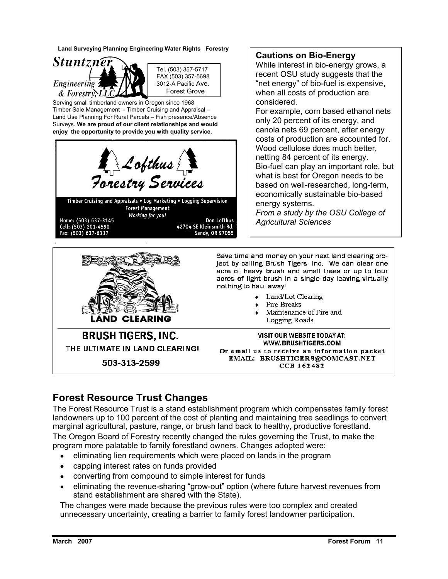**Land Surveying Planning Engineering Water Rights Forestry** 



 Tel. (503) 357-5717 FAX (503) 357-5698 3012-A Pacific Ave. Forest Grove

Serving small timberland owners in Oregon since 1968 Timber Sale Management - Timber Cruising and Appraisal – Land Use Planning For Rural Parcels – Fish presence/Absence Surveys. **We are proud of our client relationships and would enjoy the opportunity to provide you with quality service.** 





#### **Cautions on Bio-Energy**

While interest in bio-energy grows, a recent OSU study suggests that the "net energy" of bio-fuel is expensive, when all costs of production are considered.

For example, corn based ethanol nets only 20 percent of its energy, and canola nets 69 percent, after energy costs of production are accounted for. Wood cellulose does much better, netting 84 percent of its energy. Bio-fuel can play an important role, but what is best for Oregon needs to be based on well-researched, long-term, economically sustainable bio-based energy systems. *From a study by the OSU College of* 

*Agricultural Sciences* 

Save time and money on your next land clearing project by calling Brush Tigers, Inc. We can clear one acre of heavy brush and small trees or up to four acres of light brush in a single day leaving virtually nothing to haul away!

- Land/Lot Clearing
- Fire Breaks
- Maintenance of Fire and Logging Roads

### **BRUSH TIGERS, INC.** THE ULTIMATE IN LAND CLEARING! 503-313-2599

**VISIT OUR WEBSITE TODAY AT:** WWW.BRUSHTIGERS.COM Or email us to receive an information packet EMAIL: BRUSHTIGERS@COMCAST.NET **CCB 162482** 

### **Forest Resource Trust Changes**

The Forest Resource Trust is a stand establishment program which compensates family forest landowners up to 100 percent of the cost of planting and maintaining tree seedlings to convert marginal agricultural, pasture, range, or brush land back to healthy, productive forestland. The Oregon Board of Forestry recently changed the rules governing the Trust, to make the program more palatable to family forestland owners. Changes adopted were:

- eliminating lien requirements which were placed on lands in the program
- capping interest rates on funds provided
- converting from compound to simple interest for funds
- eliminating the revenue-sharing "grow-out" option (where future harvest revenues from stand establishment are shared with the State).

The changes were made because the previous rules were too complex and created unnecessary uncertainty, creating a barrier to family forest landowner participation.